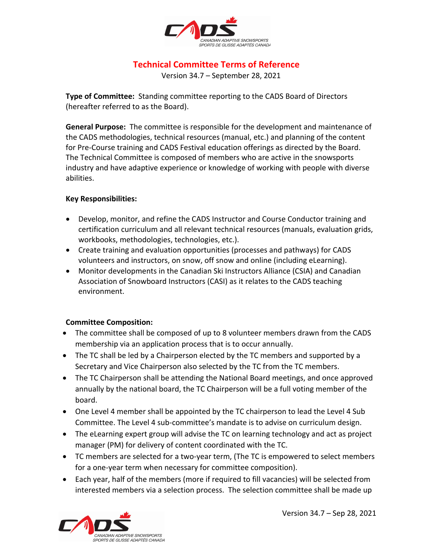

# **Technical Committee Terms of Reference**

Version 34.7 – September 28, 2021

**Type of Committee:** Standing committee reporting to the CADS Board of Directors (hereafter referred to as the Board).

**General Purpose:** The committee is responsible for the development and maintenance of the CADS methodologies, technical resources (manual, etc.) and planning of the content for Pre-Course training and CADS Festival education offerings as directed by the Board. The Technical Committee is composed of members who are active in the snowsports industry and have adaptive experience or knowledge of working with people with diverse abilities.

### **Key Responsibilities:**

- Develop, monitor, and refine the CADS Instructor and Course Conductor training and certification curriculum and all relevant technical resources (manuals, evaluation grids, workbooks, methodologies, technologies, etc.).
- Create training and evaluation opportunities (processes and pathways) for CADS volunteers and instructors, on snow, off snow and online (including eLearning).
- Monitor developments in the Canadian Ski Instructors Alliance (CSIA) and Canadian Association of Snowboard Instructors (CASI) as it relates to the CADS teaching environment.

## **Committee Composition:**

- The committee shall be composed of up to 8 volunteer members drawn from the CADS membership via an application process that is to occur annually.
- The TC shall be led by a Chairperson elected by the TC members and supported by a Secretary and Vice Chairperson also selected by the TC from the TC members.
- The TC Chairperson shall be attending the National Board meetings, and once approved annually by the national board, the TC Chairperson will be a full voting member of the board.
- One Level 4 member shall be appointed by the TC chairperson to lead the Level 4 Sub Committee. The Level 4 sub-committee's mandate is to advise on curriculum design.
- The eLearning expert group will advise the TC on learning technology and act as project manager (PM) for delivery of content coordinated with the TC.
- TC members are selected for a two-year term, (The TC is empowered to select members for a one-year term when necessary for committee composition).
- Each year, half of the members (more if required to fill vacancies) will be selected from interested members via a selection process. The selection committee shall be made up

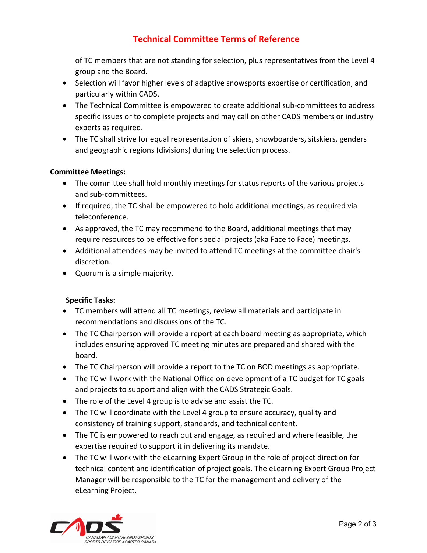# **Technical Committee Terms of Reference**

of TC members that are not standing for selection, plus representatives from the Level 4 group and the Board.

- Selection will favor higher levels of adaptive snowsports expertise or certification, and particularly within CADS.
- The Technical Committee is empowered to create additional sub-committees to address specific issues or to complete projects and may call on other CADS members or industry experts as required.
- The TC shall strive for equal representation of skiers, snowboarders, sitskiers, genders and geographic regions (divisions) during the selection process.

### **Committee Meetings:**

- The committee shall hold monthly meetings for status reports of the various projects and sub-committees.
- If required, the TC shall be empowered to hold additional meetings, as required via teleconference.
- As approved, the TC may recommend to the Board, additional meetings that may require resources to be effective for special projects (aka Face to Face) meetings.
- Additional attendees may be invited to attend TC meetings at the committee chair's discretion.
- Quorum is a simple majority.

## **Specific Tasks:**

- TC members will attend all TC meetings, review all materials and participate in recommendations and discussions of the TC.
- The TC Chairperson will provide a report at each board meeting as appropriate, which includes ensuring approved TC meeting minutes are prepared and shared with the board.
- The TC Chairperson will provide a report to the TC on BOD meetings as appropriate.
- The TC will work with the National Office on development of a TC budget for TC goals and projects to support and align with the CADS Strategic Goals.
- The role of the Level 4 group is to advise and assist the TC.
- The TC will coordinate with the Level 4 group to ensure accuracy, quality and consistency of training support, standards, and technical content.
- The TC is empowered to reach out and engage, as required and where feasible, the expertise required to support it in delivering its mandate.
- The TC will work with the eLearning Expert Group in the role of project direction for technical content and identification of project goals. The eLearning Expert Group Project Manager will be responsible to the TC for the management and delivery of the eLearning Project.